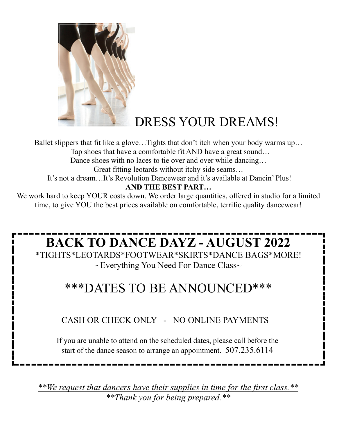

### DRESS YOUR DREAMS!

Ballet slippers that fit like a glove…Tights that don't itch when your body warms up… Tap shoes that have a comfortable fit AND have a great sound… Dance shoes with no laces to tie over and over while dancing... Great fitting leotards without itchy side seams… It's not a dream…It's Revolution Dancewear and it's available at Dancin' Plus! **AND THE BEST PART…** We work hard to keep YOUR costs down. We order large quantities, offered in studio for a limited

time, to give YOU the best prices available on comfortable, terrific quality dancewear!

# **BACK TO DANCE DAYZ - AUGUST 2022**

\*TIGHTS\*LEOTARDS\*FOOTWEAR\*SKIRTS\*DANCE BAGS\*MORE!  $\sim$ Everything You Need For Dance Class $\sim$ 

### \*\*\*DATES TO BE ANNOUNCED\*\*\*

CASH OR CHECK ONLY - NO ONLINE PAYMENTS

If you are unable to attend on the scheduled dates, please call before the start of the dance season to arrange an appointment. 507.235.6114

*\*\*We request that dancers have their supplies in time for the first class.\*\* \*\*Thank you for being prepared.\*\**